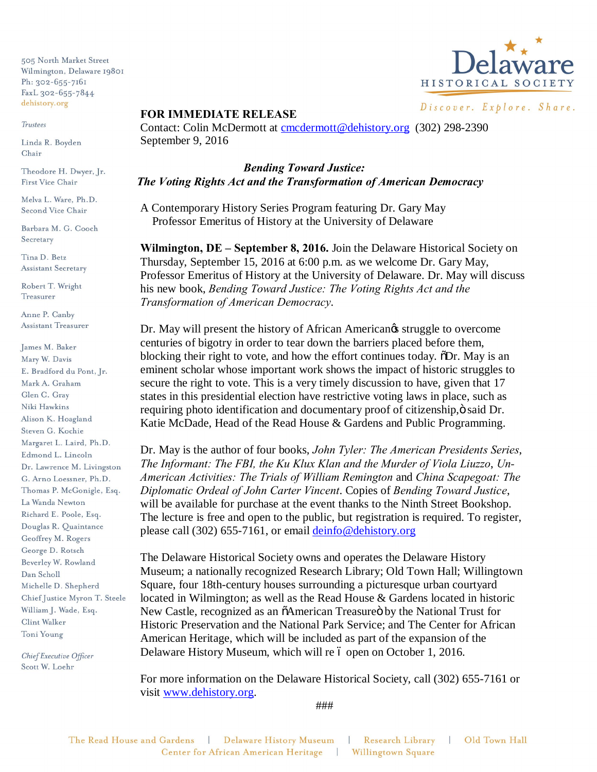505 North Market Street Wilmington, Delaware 19801 Ph: 302-655-7161 FaxL 302-655-7844 dehistory.org

Trustees

Linda R. Boyden Chair

Theodore H. Dwyer, Jr. First Vice Chair

Melva L. Ware, Ph.D. Second Vice Chair

Barbara M. G. Cooch Secretary

Tina D. Betz **Assistant Secretary** 

Robert T. Wright Treasurer

Anne P. Canby Assistant Treasurer

James M. Baker Mary W. Davis E. Bradford du Pont, Jr. Mark A. Graham Glen C. Gray Niki Hawkins Alison K. Hoagland Steven G. Kochie Margaret L. Laird, Ph.D. Edmond L. Lincoln Dr. Lawrence M. Livingston G. Arno Loessner, Ph.D. Thomas P. McGonigle, Esq. La Wanda Newton Richard E. Poole, Esq. Douglas R. Quaintance Geoffrey M. Rogers George D. Rotsch Beverley W. Rowland Dan Scholl Michelle D. Shepherd Chief Justice Myron T. Steele William J. Wade, Esq. Clint Walker Toni Young

Chief Executive Officer Scott W. Loehr



Discover. Explore. Share.

## **FOR IMMEDIATE RELEASE**

Contact: Colin McDermott at cmcdermott@dehistory.org (302) 298-2390 September 9, 2016

 *Bending Toward Justice: The Voting Rights Act and the Transformation of American Democracy*

A Contemporary History Series Program featuring Dr. Gary May Professor Emeritus of History at the University of Delaware

**Wilmington, DE – September 8, 2016.** Join the Delaware Historical Society on Thursday, September 15, 2016 at 6:00 p.m. as we welcome Dr. Gary May, Professor Emeritus of History at the University of Delaware. Dr. May will discuss his new book, *Bending Toward Justice: The Voting Rights Act and the Transformation of American Democracy*.

Dr. May will present the history of African American $\alpha$  struggle to overcome centuries of bigotry in order to tear down the barriers placed before them, blocking their right to vote, and how the effort continues today.  $\delta$ Dr. May is an eminent scholar whose important work shows the impact of historic struggles to secure the right to vote. This is a very timely discussion to have, given that 17 states in this presidential election have restrictive voting laws in place, such as requiring photo identification and documentary proof of citizenship,  $\ddot{o}$  said Dr. Katie McDade, Head of the Read House & Gardens and Public Programming.

Dr. May is the author of four books, *John Tyler: The American Presidents Series*, *The Informant: The FBI, the Ku Klux Klan and the Murder of Viola Liuzzo*, *Un-American Activities: The Trials of William Remington* and *China Scapegoat: The Diplomatic Ordeal of John Carter Vincent*. Copies of *Bending Toward Justice*, will be available for purchase at the event thanks to the Ninth Street Bookshop. The lecture is free and open to the public, but registration is required. To register, please call (302) 655-7161, or email deinfo@dehistory.org

The Delaware Historical Society owns and operates the Delaware History Museum; a nationally recognized Research Library; Old Town Hall; Willingtown Square, four 18th-century houses surrounding a picturesque urban courtyard located in Wilmington; as well as the Read House & Gardens located in historic New Castle, recognized as an  $\tilde{o}$ American Treasure $\ddot{o}$  by the National Trust for Historic Preservation and the National Park Service; and The Center for African American Heritage, which will be included as part of the expansion of the Delaware History Museum, which will re 6 open on October 1, 2016.

For more information on the Delaware Historical Society, call (302) 655-7161 or visit www.dehistory.org.

###